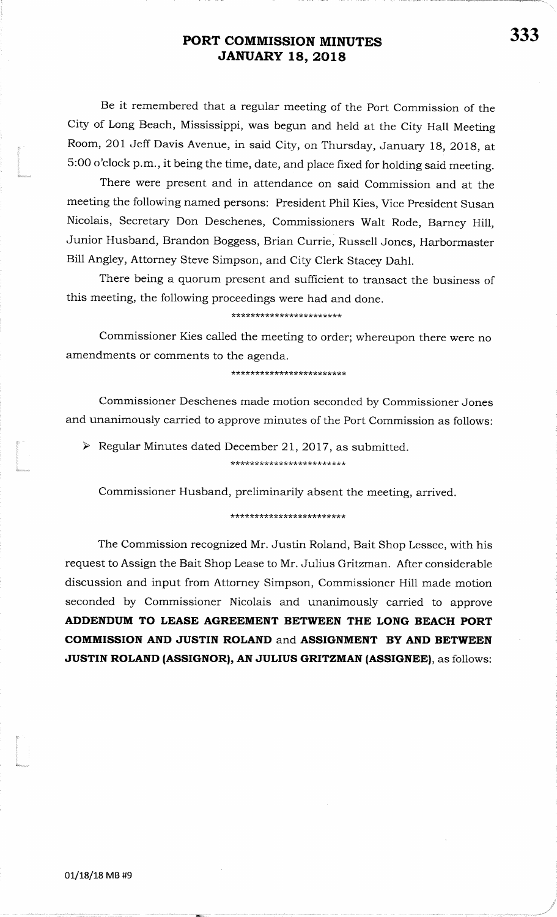Be it remembered that a regular meeting of the Port Commission of the City of Long Beach, Mississippi, was begun and held at the City Hall MeetingRoom, 201 Jeff Davis Avenue, in said City, on Thursday, January 18, 2018, at 5:00 o'clock p.m., it being the time, date, and place fixed for holding said meeting.

There were present and in attendance on said Commission and at the meeting the following named persons: President Phil Kies, Vice President Susan Nicolais, Secretary Don Deschenes, Commissioners Walt Rode, Barney Hill,Junior Husband, Brandon Boggess, Brian Currie, Russell Jones, HarbormasterBill Angley, Attorney Steve Simpson, and City Clerk Stacey Dahl.

There being a quorum present and sufficient to transact the business of this meeting, the following proceedings were had and done.

#### \* \* \* \* \* \* \* \* \* \* \* \* \* \* \* \* \* \* \* \* \*

Commissioner Kies called the meeting to order; whereupon there were noamendments or comments to the agenda.

\*\*\*\*\*\*\*\*\*\*\*\*\*\*\* \*\*\*\* \* \* \* \* \*

Commissioner Deschenes made motion seconded by Commissioner Jonesand unanimously carried to approve minutes of the Port Commission as follows:

 $\triangleright$  Regular Minutes dated December 21, 2017, as submitted. \*\*\*\*\*\*\*\*\*\*\*\*\*\*\*\*\*\*\*\*\*\*\*\*\*

Commissioner Husband, preliminarily absent the meeting, arrived.

#### \*\*\*\*\*\*\*\*\*\*\*\*\*\*\*\*\*\*\*\*\*\*\*\*

The Commission recognized Mr. Justin Roland, Bait Shop Lessee, with hisrequest to Assign the Bait Shop Lease to Mr. Julius Gritzman. After considerablediscussion and input from Attorney Simpson, Commissioner Hill made motionseconded by Commissioner Nicolais and unanimously carried to approveADDENDUM TO LEASE AGREEMENT BETWEEN THE LONG BEACH PORTCOMMISSION AND JUSTIN ROLAND and ASSIGNMENT BY AND BETWEENJUSTIN ROLAND (ASSIGNOR), AN JULIUS GRITZMAN (ASSIGNEE), as follows

t<br>komune

t<br>Ministerando

t".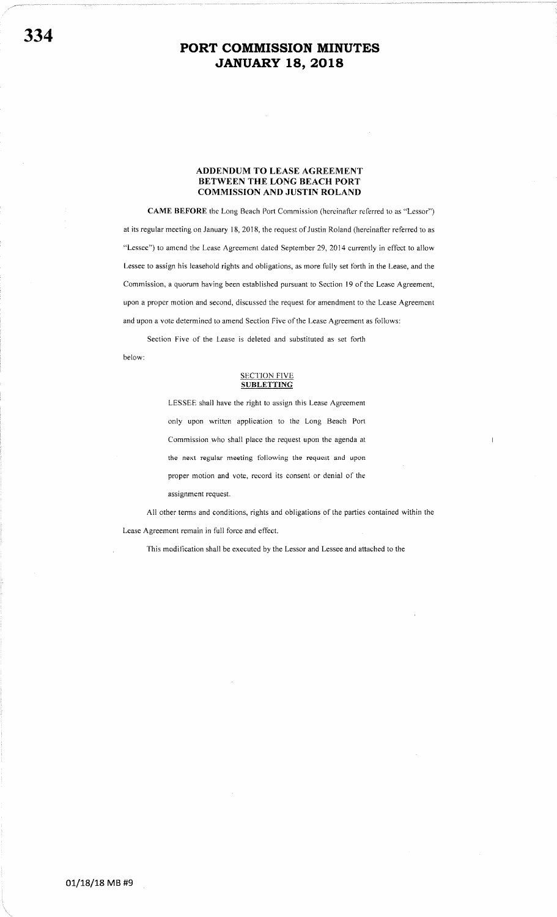#### ADDENDUM TO LEASE AGREEMENT BETWEEN THE LONG BEACH PORT COMMISSION AND JUSTIN ROLAND

CAME BEFORE the Long Beach Port Commission (hereinafter referred to as "Lessor") at its regular meeting on January 18, 2018, the request of Justin Roland (hereinafter referred to as "Lessee") to amend the Lease Agreement dated September 29, 2014 currently in effect to allow Lessee to assign his leasehold rights and obligations, as more fully set forth in the Lease, and the Commission, a quorum having been established pursuant to Section l9 of the Lease Agreement, upon a proper motion and second, discussed the request for amendment to thc Lease Agreement and upon a vote determined to amend Section Five of the Lease Agreement as follows:

Section Five of the Lease is deleted and substituted as set forth

below:

#### **SECTION FIVE SUBLETTING**

LESSEE shall have the right to assign this Lease Agreement only upon written application to the Long Beach Port Commission who shall place the request upon the agenda at the next regular meeting following the requcst and upon proper motion and vote, record its consent or denial of the assignment request.

All other terms and conditions, rights and obligations of the parties contained within the Lease Agreement remain in full force and effect.

This modification shall be executed by the Lessor and Lessee and attached to the

01/18/18 MB #9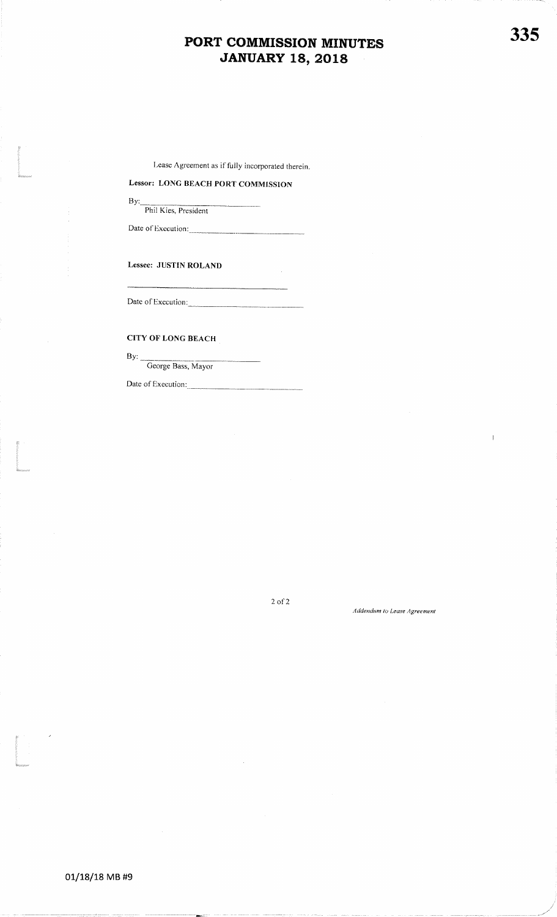$\sim$ 

# Lease Agreement as if fully incorporated therein<br>
Lessor: LONG BEACH PORT COMMISSION

Phil Kies, President

Date of Execution:

Lessee: JUSTIN ROLAND

Date of Execution:

## CITY OF LONG BEACH

By:

t<br>1980<br>Manazarta

t<br>Linda<br>Kanada

ti<br>|-<br>|Program

George Bass, Mayor

Date of Execution:

 $2$  of  $2$ 

#### Addendum to Lease Agreemen

335

 $\overline{1}$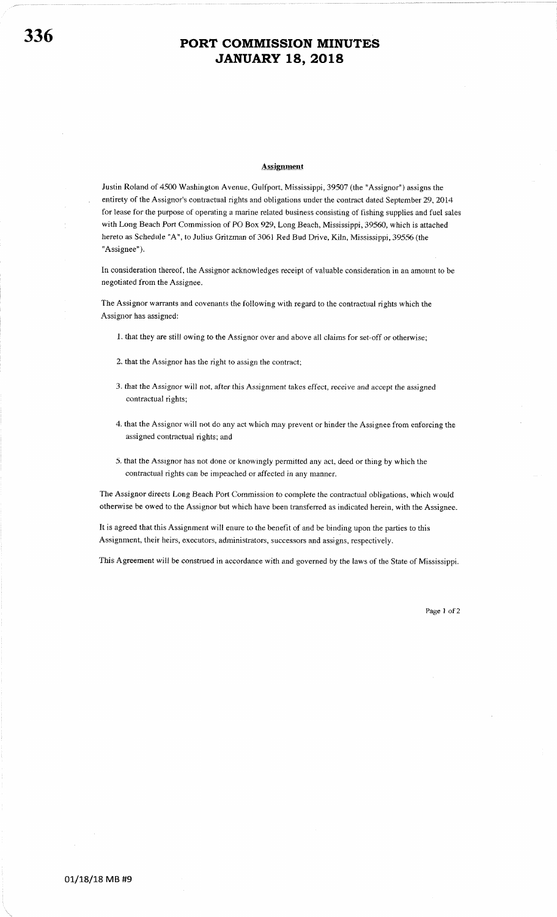#### Assignment

Justin Roland of 4500 Washington Avenue, Gulfport, Mississippi, 39507 (the "Assignor") assigns the entirety of the Assignor's contractual rights and obligations under the contract dated September 29,2O14 for lease for the purpose of operating a marine related business consisting of fishing supplies and fuel sales with Long Beach Port Commission of PO Box 929, Long Beach, Mississippi, 39560, which is attached hereto as Schedule "A", to Julius Gritzman of 3061 Red Bud Drive, Kiln, Mississippi, 39556 (the "Assignee"),

In consideration thereof, the Assignor acknowledges receipt of valuable consideration in an amount to be negotiated from the Assignee.

The Assignor warrants and covenants the following with regard to the contractual rights which the Assignor has assigned:

l. that they are still owing to the Assignor over and above all claims for set-off or otherwise;

- 2. that the Assignor has the right to assign the contract;
- 3. that the Assignor will not, after this Assignment takes effect, receive and accept the assigned contractual rights;
- 4. that the Assignor will not do any act which may prevent or hinder the Assignee from enforcing the assigned contractual rights; and
- 5. that the Assignor has not done or knowingly permitted any act, deed or thing by which the contractual rights can be impeached or affected in any manner.

The Assignor directs Long Beach Port Commission to complete the contractual obligations, which would otherwise be owed to the Assignor but which have been transferred as indicated herein, with tbe Assignee.

It is agreed that this Assignment will enure to the benefit of and be binding upon the parties to this Assignment, their heirs, executors, administrators, successors and assigns, respectively.

This Agreement will be construed in accordance with and governed by the laws of the State of Mississippi.

Page 1 of 2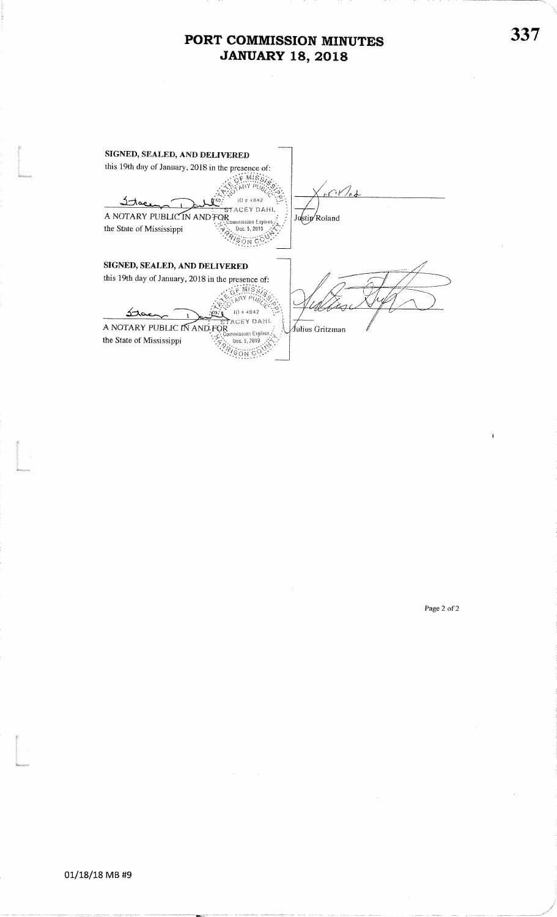| SIGNED, SEALED, AND DELIVERED                                                                                           |                  |
|-------------------------------------------------------------------------------------------------------------------------|------------------|
| this 19th day of January, 2018 in the presence of:                                                                      |                  |
| ID # 4842<br>STACEY DAHL<br>A NOTARY PUBLIC IN AND FOR<br>ommission Expires<br>the State of Mississippi<br>Dec. 5, 2019 | Justin Roland    |
| SIGNED, SEALED, AND DELIVERED                                                                                           |                  |
| this 19th day of January, 2018 in the presence of:                                                                      |                  |
| ID # 4842                                                                                                               |                  |
| stacey dahl<br>A NOTARY PUBLIC IN AND FOR                                                                               | ∕Julius Gritzman |
| Commission Expires<br>the State of Mississippi<br>0ec. 5. 201                                                           |                  |
|                                                                                                                         |                  |

Page 2 of 2

İ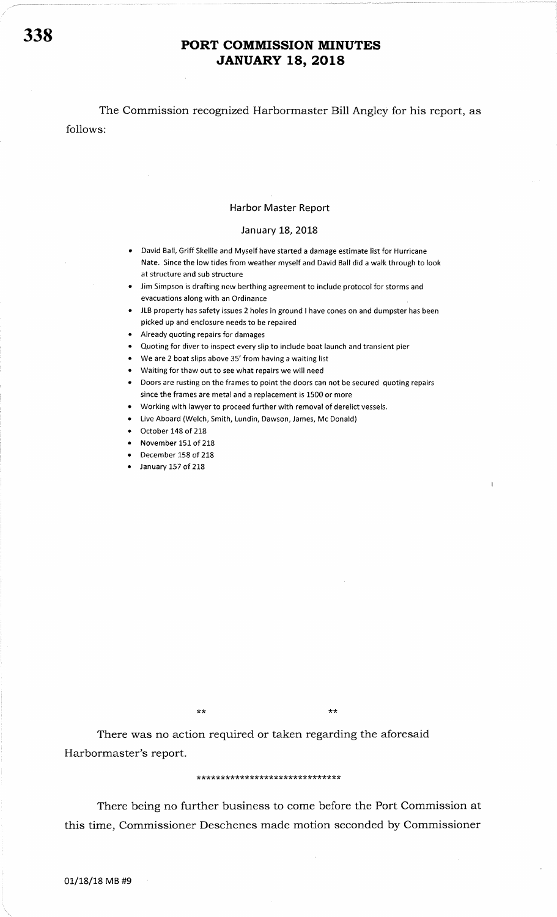The Commission recognized Harbormaster Bill Angley for his report, as follows:

#### Harbor Master Report

#### January 18, 2018

- David Ball, Griff Skellie and Myself have started a damage estimate list for Hurricane Nate. Since the low tides from weather myself and David Ball did a walk through to look at structure and sub structure
- Jim Simpson is drafting new berthing agreement to include protocol for storms and evacuations along with an Ordinance
- . JLB property has safety issues 2 holes in ground I have cones on and dumpster has been picked up and enclosure needs to be repaired
- Already quoting repairs for damages
- Quoting for diver to inspect every slip to include boat launch and transient pier
- $\bullet$  We are 2 boat slips above 35' from having a waiting list
- . Waiting for thaw out to see what repairs we will need
- Doors are rusting on the frames to point the doors can not be secured quoting repairs since the frames are metal and a replacement is 1500 or more
- Working with lawyer to proceed further with removal of derelict vessels.
- Live Aboard (Welch, Smith, Lundin, Dawson, James, Mc Donald)
- $\bullet$  October 148 of 218
- November 151 of 218
- December 158 of 218
- January 157 of 218

\*\*

There was no action required or taken regarding the aforesaid Harbormaster's report.

#### \*\*\*\*\*\*\* \* \*\* \*\*\*\*\*\*\*\*\*\*\*\*\*\*\*\*\*\*\*\*

There being no further business to come before the Port Commission at this time, Commissioner Deschenes made motion seconded by Commissioner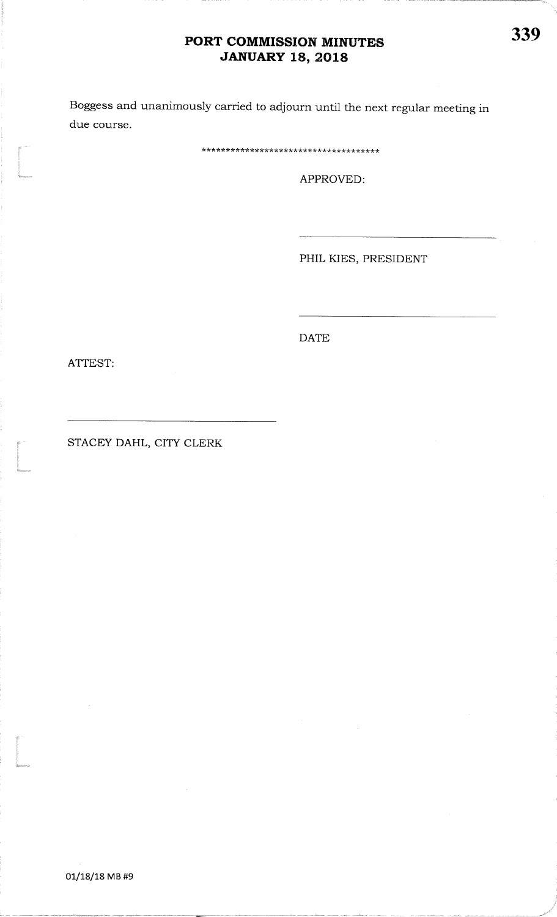Boggess and unanimously carried to adjourn until the next regular meeting indue course

\*\* \* \* \* \*\* \*\*\*\* \* \* \* \* \*

APPROVED:

PHIL KIES, PRESIDENT

DATE

ATTEST:

t<br>Educaciones

STACEY DAHL, CITY CLERK

t<br>1980 - Johann Barnett, Amerikaansk konge<br>1980 - Johann Barnett, Amerikaansk konge<br>1980 - Johann Barnett, Amerikaansk konge